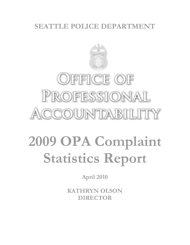# **SEATTLE POLICE DEPARTMENT**



# OFFICE OF PROFESSIONAL CCOUNTABILITY

# **2009 OPA Complaint Statistics Report**

**April 2010**

**KATHRYN OLSON DIRECTOR**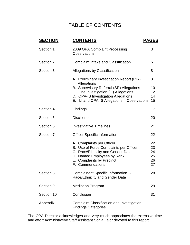## TABLE OF CONTENTS

| <b>SECTION</b> | <b>CONTENTS</b>                                                                                                                                                                         | <b>PAGES</b>                     |
|----------------|-----------------------------------------------------------------------------------------------------------------------------------------------------------------------------------------|----------------------------------|
| Section 1      | 2009 OPA Complaint Processing<br><b>Observations</b>                                                                                                                                    | 3                                |
| Section 2      | <b>Complaint Intake and Classification</b>                                                                                                                                              | 6                                |
| Section 3      | Allegations by Classification                                                                                                                                                           | 8                                |
|                | A. Preliminary Investigation Report (PIR)<br>Allegations                                                                                                                                | 8                                |
|                | B. Supervisory Referral (SR) Allegations<br>C. Line Investigation (LI) Allegations<br>D. OPA-IS Investigation Allegations<br>E. LI and OPA-IS Allegations - Observations                | 10<br>12<br>14<br>15             |
| Section 4      | Findings                                                                                                                                                                                | 17                               |
| Section 5      | <b>Discipline</b>                                                                                                                                                                       | 20                               |
| Section 6      | <b>Investigative Timelines</b>                                                                                                                                                          | 21                               |
| Section 7      | <b>Officer Specific Information</b>                                                                                                                                                     | 22                               |
|                | A. Complaints per Officer<br>B. Use of Force Complaints per Officer<br>C. Race/Ethnicity and Gender Data<br>D. Named Employees by Rank<br>E. Complaints by Precinct<br>F. Commendations | 22<br>23<br>24<br>25<br>26<br>27 |
| Section 8      | Complainant Specific Information -<br>Race/Ethnicity and Gender Data                                                                                                                    | 28                               |
| Section 9      | <b>Mediation Program</b>                                                                                                                                                                | 29                               |
| Section 10     | Conclusion                                                                                                                                                                              | 31                               |
| Appendix       | <b>Complaint Classification and Investigation</b><br><b>Findings Categories</b>                                                                                                         |                                  |

The OPA Director acknowledges and very much appreciates the extensive time and effort Administrative Staff Assistant Sonja Lalor devoted to this report.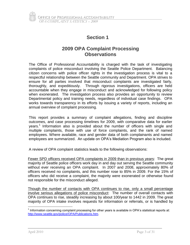## **2009 OPA Complaint Processing Observations**

The Office of Professional Accountability is charged with the task of investigating complaints of police misconduct involving the Seattle Police Department. Balancing citizen concerns with police officer rights in the investigation process is vital to a respectful relationship between the Seattle community and Department. OPA strives to ensure for all parties involved that misconduct complaints are investigated fairly, thoroughly, and expeditiously. Through rigorous investigations, officers are held accountable when they engage in misconduct and acknowledged for following policy when exonerated. The investigation process also provides an opportunity to review Departmental policy and training needs, regardless of individual case findings. OPA works towards transparency in its efforts by issuing a variety of reports, including an annual overview of complaint processing.

This report provides a summary of complaint allegations, finding and discipline outcomes, and case processing timelines for 2009, with comparative data for earlier years.<sup>1</sup> Information also is provided about the number of officers with single and multiple complaints, those with use of force complaints, and the rank of named employees. Where available, race and gender data of both complainants and named employees are summarized. An update on OPA's Mediation Program also is included.

A review of OPA complaint statistics leads to the following observations:

Fewer SPD officers received OPA complaints in 2009 than in previous years: The great majority of Seattle police officers work day in and day out serving the Seattle community without ever receiving an OPA complaint. In 2007 and 2008, approximately 80% of officers received no complaints, and this number rose to 85% in 2009. For the 15% of officers who did receive a complaint, the majority were exonerated or otherwise found not responsible for the misconduct alleged.

Though the number of contacts with OPA continues to rise, only a small percentage involve serious allegations of police misconduct: The number of overall contacts with OPA continues to rise, steadily increasing by about 100/year to 1442 in 2009. The great majority of OPA intake involves requests for information or referrals, or is handled by

 $\overline{a}$  $1$  Information concerning complaint processing for other years is available in OPA's statistical reports at: [http://www.seattle.gov/police/OPA/Publications.htm.](http://www.seattle.gov/police/OPA/Publications.htm)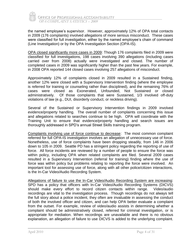

JEFICE OF PROFESSIONAL ACCOUNTABILITY *OPA COMPLAINT SATISTICS – 2009* 

the named employee's supervisor. However, approximately 12% of OPA total contacts in 2009 (176 complaints) involved allegations of more serious misconduct. These cases were classified for full investigation, either by the named employee's chain of command (Line Investigation) or by the OPA Investigation Section (OPA-IS).

OPA closed significantly more cases in 2009: Though 176 complaints filed in 2009 were classified for full investigations, 198 cases involving 390 allegations (including cases carried over from 2008) actually were investigated and closed. The number of completed cases in 2009 was significantly higher than the past few years. For example, in 2008 OPA reported 144 closed cases involving 257 allegations of misconduct.

Approximately 12% of complaints closed in 2009 resulted in a Sustained finding, another 12% were closed with a Supervisory Intervention finding (where the employee is referred for training or counseling rather than disciplined), and the remaining 76% of cases were closed as Exonerated, Unfounded, Not Sustained or closed administratively. Of those complaints that were Sustained, 1/3 involved off-duty violations of law (e.g., DUI, disorderly conduct, or reckless driving).

Several of the Sustained or Supervisory Intervention findings in 2009 involved evidence/property handling. The overall number of complaints concerning this issue and allegations related to searches continue to be high. OPA will coordinate with the Training Unit to ensure that evidence/property handling and search issues are thoroughly addressed in SPD's annual Street Skills training program.

Complaints involving use of force continue to decrease: The most common complaint referred for full OPA-IS investigation involves an allegation of unnecessary use of force. Nonetheless, use of force complaints have been dropping steadily, from 146 in 2006 down to 105 in 2009. Seattle PD has a stringent policy regarding the reporting of use of force. All force incidents are reviewed by a number of people to ensure the force was within policy, including OPA when related complaints are filed. Several 2009 cases resulted in a Supervisory Intervention (referral for training) finding where the use of force was within policy but problems relating to reporting the force were involved. An important tool for assessing use of force, along with all other police/citizen interactions, is the In-Car Video/Audio Recording System.

Allegations of failure to use the In-Car Video/Audio Recording System are increasing: SPD has a policy that officers with In-Car Video/Audio Recording Systems (DICVS) should make every effort to record citizen contacts within range. Video/audio recordings are vital to the investigation process. Though recordings do not always tell the full story about a police incident, they often are invaluable in assessing the conduct of both the involved officer and citizen, and can help OPA better evaluate a complaint from the outset. For example, review of video/audio assists in determining whether a complaint should be administratively closed, referred for criminal investigation, or is appropriate for mediation. When recordings are unavailable and there is no obvious explanation, an allegation of failure to use DICVS is added to the underlying complaint.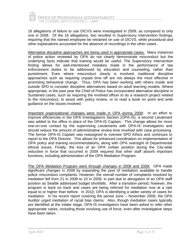

16 allegations of failure to use DICVS were investigated in 2009, as compared to only one in 2008. Of the 16 allegations, two resulted in Supervisory Intervention findings, requiring that the named employee be retrained on use of DICVS, while procedural and other explanations accounted for the absence of recordings in the other cases.

Alternative discipline approaches are being used in appropriate cases: Many instances of police action reviewed by OPA do not clearly demonstrate misconduct but the underlying facts indicate that training would be useful. The Supervisory Intervention finding allows for well-intentioned mistakes made in the performance of law enforcement duties to be addressed by education and counseling, rather than punishment. Even where misconduct clearly is involved, traditional discipline approaches such as requiring unpaid time off are not always the most effective in promoting behavioral change. Thus, OPA has been working with others inside and outside SPD to consider discipline alternatives based on adult learning models. Where appropriate, in the past year the Chief of Police has incorporated alternative discipline in Sustained cases, such as requiring the involved officer to do a research project related to the misconduct, to assist with policy review, or to read a book on point and write guidance on the issues involved.

Important organizational changes were made in OPA during 2009: In an effort to improve efficiencies in the OPA Investigations Section (OPA-IS), a second Lieutenant was added to the office in place of the OPA-IS Captain. This change allows for more one-on-one contact by the supervising Lieutenants with OPA-IS investigators and should reduce the amount of administrative review time involved with case processing. The former OPA-IS Captain was reassigned to oversee SPD Ethics and continues to report to the OPA Director. This allows for enhanced coordination on implementation of OPA policy and training recommendations, along with OPA oversight of Departmental ethical issues. Finally, the loss of an OPA civilian position during the City-wide reduction in force that occurred in 2009 required that other staff absorb important functions, including administration of the OPA Mediation Program.

The OPA Mediation Program went through changes in 2008 and 2009: OPA made significant changes in 2008 by expanding the pool of mediators available to handle police misconduct complaints. However, the overall number of complaints resolved by mediation fell from 21 in 2008 to 10 in 2009, in part due to abrogation of an OPA staff position as Seattle addressed budget shortfalls. After a transition period, however, the program is back on track and cases are being referred for mediation now at a rate equal to or higher than before. In 2010, OPA is identifying a wider variety of cases for mediation. In his recent report covering the period June – November 2009, the OPA Auditor urged mediation of racial bias claims. Also, though mediation cases typically are identified at the intake stage, OPA-IS investigators have been asked to refer other appropriate cases, including those involving use of force, even after investigative steps have been taken.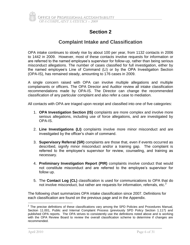

## **Complaint Intake and Classification**

OPA intake continues to slowly rise by about 100 per year, from 1132 contacts in 2006 to 1442 in 2009. However, most of these contacts involve requests for information or are referred to the named employee's supervisor for follow-up, rather than being serious misconduct allegations. The number of cases classified for full investigation, either by the named employee's Line of Command (LI) or by the OPA Investigation Section (OPA-IS), has remained steady, amounting to 176 cases in 2009.

A single concern raised with OPA can involve multiple allegations and multiple complainants or officers. The OPA Director and Auditor review all intake classification recommendations made by OPA-IS. The Director can change the recommended classification of any particular complaint and also refer a case to mediation.

All contacts with OPA are triaged upon receipt and classified into one of five categories:

- 1. **OPA Investigation Section (IS)** complaints are more complex and involve more serious allegations, including use of force allegations, and are investigated by OPA-IS.
- 2. **Line Investigations (LI)** complaints involve more minor misconduct and are investigated by the officer's chain of command.
- 3. **Supervisory Referral (SR)** complaints are those that, even if events occurred as described, signify minor misconduct and/or a training gap. The complaint is referred to the employee's supervisor for review, counseling, and training as necessary.
- 4. **Preliminary Investigation Report (PIR)** complaints involve conduct that would not constitute misconduct and are referred to the employee's supervisor for follow up.
- 5. The **Contact Log (CL)** classification is used for communications to OPA that do not involve misconduct, but rather are requests for information, referrals, etc. $2$

The following chart summarizes OPA intake classification since 2007. Definitions for each classification are found on the previous page and in the Appendix.

 $2$  The precise definitions of these classifications vary among the SPD Policies and Procedures Manual, Section 11.001, Public and Internal Complaint Process (previously SPD Policy Section 1.117) and published OPA reports. The OPA strives to consistently use the definitions noted above and is working with the OPA Review Board to review the overall classification scheme to determine if changes are recommended.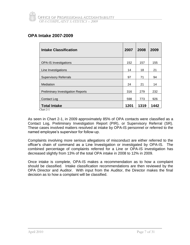## **OPA Intake 2007-2009**

| <b>Intake Classification</b>                                     | 2007 | 2008 | 2009 |
|------------------------------------------------------------------|------|------|------|
| <b>OPA-IS Investigations</b>                                     | 152  | 157  | 155  |
| Line Investigations                                              | 14   | 18   | 21   |
| <b>Supervisory Referrals</b>                                     | 97   | 71   | 94   |
| Mediation                                                        | 24   | 21   | 14   |
| <b>Preliminary Investigation Reports</b>                         | 316  | 279  | 232  |
| <b>Contact Log</b>                                               | 598  | 773  | 926  |
| <b>Total Intake</b><br>$\sim$ $\sim$ $\sim$ $\sim$ $\sim$ $\sim$ | 1201 | 1319 | 1442 |

Chart 2-1

As seen in Chart 2-1, in 2009 approximately 85% of OPA contacts were classified as a Contact Log, Preliminary Investigation Report (PIR), or Supervisory Referral (SR). These cases involved matters resolved at intake by OPA-IS personnel or referred to the named employee's supervisor for follow-up.

Complaints involving more serious allegations of misconduct are either referred to the officer's chain of command as a Line Investigation or investigated by OPA-IS. The combined percentage of complaints referred for a Line or OPA-IS investigation has decreased slightly from 13% of the total OPA intake in 2008 to 12% in 2009.

Once intake is complete, OPA-IS makes a recommendation as to how a complaint should be classified. Intake classification recommendations are then reviewed by the OPA Director and Auditor. With input from the Auditor, the Director makes the final decision as to how a complaint will be classified.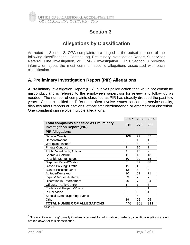

## **Allegations by Classification**

As noted in Section 2, OPA complaints are triaged at the outset into one of the following classifications: Contact Log, Preliminary Investigation Report, Supervisor Referral, Line Investigation, or OPA-IS Investigation. This Section 3 provides information about the most common specific allegations associated with each classification.<sup>3</sup>

#### **A. Preliminary Investigation Report (PIR) Allegations**

A Preliminary Investigation Report (PIR) involves police action that would not constitute misconduct and is referred to the employee's supervisor for review and follow up as needed. The number of complaints classified as PIR has steadily dropped the past few years. Cases classified as PIRs most often involve issues concerning service quality, disputes about reports or citations, officer attitude/demeanor, or enforcement discretion. One complaint can involve multiple allegations.

|                                                                                        | 2007           | 2008           | 2009                    |
|----------------------------------------------------------------------------------------|----------------|----------------|-------------------------|
| <b>Total complaints classified as Preliminary</b><br><b>Investigation Report (PIR)</b> | 316            | 279            | 232                     |
| <b>PIR Allegations</b>                                                                 |                |                |                         |
| <b>Service Quality</b>                                                                 | 108            | 72             | 67                      |
| Demonstrations                                                                         | 0              | 1              | 1                       |
| Workplace Issues                                                                       | 4              | 5              | 4                       |
| <b>Private Conduct</b>                                                                 | $\overline{7}$ | 10             | $\overline{7}$          |
| <b>Traffic Violation by Officer</b>                                                    | 4              | 12             | 9                       |
| Search & Seizure                                                                       | 11             | 13             | 18                      |
| Possible Mental Issues                                                                 | 10             | 20             | 15                      |
| <b>Disputes Report/Citation</b>                                                        | 61             | 42             | 38                      |
| <b>Biased Policing: Traffic</b>                                                        | 15             | 4              | 6                       |
| <b>Biased Policing: Other</b>                                                          | 13             | 5              | $\overline{\mathbf{4}}$ |
| Attitude/Demeanor                                                                      | 90             | 69             | 71                      |
| Inquiry/Request/Referral                                                               | 63             | $\overline{7}$ | $\overline{7}$          |
| Discretion in Enforcement                                                              | 40             | 73             | 34                      |
| Off Duty Traffic Control                                                               | 1              | 1              | 3                       |
| Evidence & Property/Policy                                                             | 0              | $\Omega$       | 1                       |
| In-Car Video                                                                           | 0              | 0              | 1                       |
| <b>Special Events/Sporting Events</b>                                                  | 4              | 4              | 0                       |
| Other                                                                                  | 19             | 25             | 25                      |
| <b>TOTAL NUMBER OF ALLEGATIONS</b>                                                     | 446            | 358            | 311                     |

 3 Since a "Contact Log" usually involves a request for information or referral, specific allegations are not broken down for this classification.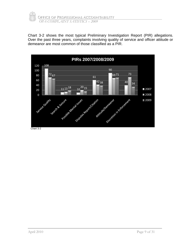

Chart 3-2 shows the most typical Preliminary Investigation Report (PIR) allegations. Over the past three years, complaints involving quality of service and officer attitude or demeanor are most common of those classified as a PIR.

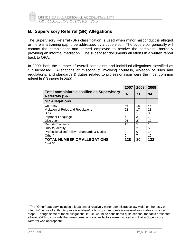

#### **B. Supervisory Referral (SR) Allegations**

The Supervisory Referral (SR) classification is used when minor misconduct is alleged or there is a training gap to be addressed by a supervisor. The supervisor generally will contact the complainant and named employee to resolve the complaint, basically providing an informal mediation. The supervisor documents all efforts in a written report back to OPA.

In 2009, both the number of overall complaints and individual allegations classified as SR increased. Allegations of misconduct involving courtesy, violation of rules and regulations, and standards & duties related to professionalism were the most common raised in SR cases in 2009.

|                                                                            | 2007 | 2008           | 2009 |
|----------------------------------------------------------------------------|------|----------------|------|
| <b>Total complaints classified as Supervisory</b><br><b>Referrals (SR)</b> | 97   | 71             | 94   |
| <b>SR Allegations</b>                                                      |      |                |      |
| Courtesy                                                                   | 46   | 18             | 46   |
| Violation of Rules and Regulations                                         | 22   | 17             | 28   |
| <b>Bias</b>                                                                | 0    |                | 3    |
| Improper Language                                                          | 4    | 3              | 7    |
| <b>Discretion</b>                                                          | 26   | 27             | 12   |
| Reports/Evidence                                                           | 15   | 5              |      |
| Duty to Identify                                                           | 9    | $\overline{2}$ | 5    |
| Professionalism/Policy - Standards & Duties                                | ∩    | 0              | 14   |
| Other $4$                                                                  | 6    |                | 16   |
| <b>TOTAL NUMBER OF ALLEGATIONS</b>                                         | 128  | 80             | 132  |

 4 The "Other" category includes allegations of relatively minor administrative law violation, honesty or integrity/misuse of authority, professionalism/traffic stops, and professionalism/reasonable suspicion stops. Though some of these allegations, if true, would be considered quite serious, the facts presented allowed OPA to conclude that misinformation or other factors were involved and that a Supervisory Referral was appropriate.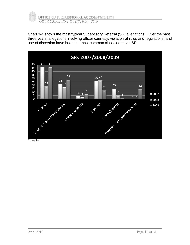

Chart 3-4 shows the most typical Supervisory Referral (SR) allegations. Over the past three years, allegations involving officer courtesy, violation of rules and regulations, and use of discretion have been the most common classified as an SR.

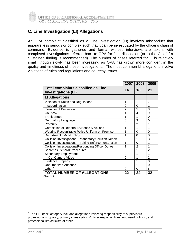

#### **C. Line Investigation (LI) Allegations**

An OPA complaint classified as a Line Investigation (LI) involves misconduct that appears less serious or complex such that it can be investigated by the officer's chain of command. Evidence is gathered and formal witness interviews are taken, with completed investigations referred back to OPA for final disposition (or to the Chief if a Sustained finding is recommended). The number of cases referred for LI is relatively small, though slowly has been increasing as OPA has grown more confident in the quality and timeliness of these investigations. The most common LI allegations involve violations of rules and regulations and courtesy issues.

|                                                                          | 2007     | 2008           | 2009           |
|--------------------------------------------------------------------------|----------|----------------|----------------|
| <b>Total complaints classified as Line</b><br><b>Investigations (LI)</b> | 14       | 18             | 21             |
| <b>LI Allegations</b>                                                    |          |                |                |
| Violation of Rules and Regulations                                       | 1        | 1              | $\overline{7}$ |
| Insubordination                                                          | 0        | $\Omega$       | 1              |
| <b>Exercise of Discretion</b>                                            | 7        | 5              | 3              |
| Courtesy                                                                 | 4        | $\overline{4}$ | 9              |
| <b>Traffic Stops</b>                                                     | 1        | 1              | $\Omega$       |
| Derogatory Language                                                      | 0        | 3              | $\Omega$       |
| Profanity                                                                | 3        | $\overline{2}$ | 1              |
| Completion of Reports, Evidence & Actions                                | 1        | 1              | 1              |
| Wearing Recognizable Police Uniform on Premise                           | 1        | $\Omega$       | $\Omega$       |
| <b>Department E-Mail Policy</b>                                          | 1        | $\Omega$       | $\Omega$       |
| Collision Investigations - Mandatory Collision Report                    | $\Omega$ | 1              | 3              |
| Collision Investigations - Taking Enforcement Action                     | 1        | 0              | 1              |
| Collision Investigations/Responding Officer Duties                       | 1        | $\overline{2}$ | 1              |
| Searches General/Procedures                                              | $\Omega$ | 1              | $\overline{2}$ |
| Secondary Employment                                                     | 0        | 1              | 1              |
| In-Car Camera Video                                                      | 0        | 1              | $\overline{2}$ |
| Evidence/Property                                                        | $\Omega$ | 1              | $\Omega$       |
| <b>Unauthorized Absence</b>                                              | 0        | 1              | $\Omega$       |
| Other <sup>5</sup>                                                       | 0        | $\Omega$       | 5              |
| <b>TOTAL NUMBER OF ALLEGATIONS</b>                                       | 22       | 24             | 32             |

Chart 3-5

<sup>&</sup>lt;sup>5</sup> The LI "Other" category includes allegations involving responsibility of supervisors, professionalism/policy, primary investigations/officer responsibilities, unbiased policing, and professionalism/criticism of other.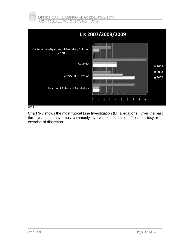



Chart 3-6 shows the most typical Line Investigation (LI) allegations. Over the past three years, LIs have most commonly involved complaints of officer courtesy or exercise of discretion.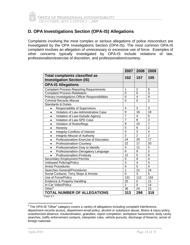#### **D. OPA Investigations Section (OPA-IS) Allegations**

Complaints involving the most complex or serious allegations of police misconduct are investigated by the OPA Investigations Section (OPA-IS). The most common OPA-IS complaint involves an allegation of unnecessary or excessive use of force. Examples of other concerns typically investigated by OPA-IS include violations of law, professionalism/exercise of discretion, and professionalism/courtesy.

|                                                                            |                | 2007   2008     | 2009           |
|----------------------------------------------------------------------------|----------------|-----------------|----------------|
| <b>Total complaints classified as</b><br><b>Investigation Section (IS)</b> | 152            | 157             | 155            |
| <b>OPA-IS Allegations</b>                                                  |                |                 |                |
| <b>Complaint Process-Reporting Requirements</b>                            | 1              | $\overline{2}$  | 6              |
| <b>Complaint Process-Retaliation</b>                                       | $\Omega$       | 0               | 3              |
| Primary Investigations-Officer Responsibilities                            | 0              | 4               | 9              |
| <b>Criminal Records Misuse</b>                                             | $\Omega$       | $\Omega$        | $\overline{2}$ |
| <b>Standards &amp; Duties</b>                                              |                |                 |                |
| <b>Responsibility of Supervisors</b><br>$\bullet$                          | 4              | 3               | 3              |
| Violation of Law-Administrative Case<br>$\bullet$                          | 9              | 16              | 18             |
| Violation of Law-Outside Agency<br>$\bullet$                               | $\overline{7}$ | 4               | 5              |
| Violation of Law-SPD Case<br>$\bullet$                                     | $\overline{7}$ | $\overline{8}$  | $\overline{3}$ |
| Violation of Rules/Regs<br>$\bullet$                                       | 8              | 10              | $\overline{7}$ |
| Honesty<br>$\bullet$                                                       | 5              | 6               | $\overline{2}$ |
| <b>Integrity-Conflicts of Interest</b><br>$\bullet$                        | 0              | 3               | 4              |
| Integrity-Misuse of Authority<br>$\bullet$                                 | 3              | $\overline{2}$  | $\overline{2}$ |
| Professionalism-Exercise of Discretion<br>$\bullet$                        | 24             | 20              | 17             |
| Professionalism-Courtesy<br>$\bullet$                                      | 22             | 17              | 20             |
| Professionalism-Duty to Identify<br>$\bullet$                              | 3              | 11              | 5              |
| Professionalism-Derogatory Language<br>$\bullet$                           | 6              | 9               | $\overline{2}$ |
| Professionalism-Profanity<br>$\bullet$                                     | 12             | $\overline{5}$  | 6              |
| <b>Secondary Employment Permits</b>                                        | 0              | $\overline{9}$  | $\overline{4}$ |
| <b>Unbiased Policing/Policy</b>                                            | 3              | 4               | 5              |
| <b>Arrest Procedures</b>                                                   | $\overline{4}$ | $\overline{5}$  | 4              |
| Searches-General/Procedures                                                | 1              | $\overline{21}$ | 24             |
| Social Contacts, Terry Stops & Arrests                                     | 0              | 3               | 5              |
| Use of Force/Policy                                                        | 131            | 112             | 104            |
| Evidence & Property Handling                                               | 25             | 0               | 21             |
| In-Car Video/Policy                                                        | $\overline{2}$ | 0               | 14             |
| $O$ ther <sup>6</sup>                                                      | 36             | 24              | 23             |
| <b>TOTAL NUMBER OF ALLEGATIONS</b>                                         | 313            | 298             | 318            |

<sup>————————————————————&</sup>lt;br><sup>6</sup> The OPA-IS "Other" category covers a variety of allegations including complaint interference, department records access, department email policy, alcohol or substance abuse, illness & injury policy, unauthorized absence, insubordination, gratuities, report completion, workplace harassment, body cavity searches, traffic enforcement contacts, interpreter rules, vehicle pursuits, discharge of firearms, arrest of foreign nationals.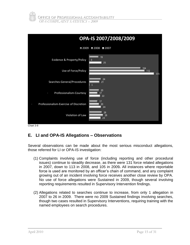



Chart 3-8

#### **E. LI and OPA-IS Allegations – Observations**

Several observations can be made about the most serious misconduct allegations, those referred for LI or OPA-IS investigation:

- (1) Complaints involving use of force (including reporting and other procedural issues) continue to steadily decrease, as there were 131 force related allegations in 2007, down to 113 in 2008, and 105 in 2009*.* All instances where reportable force is used are monitored by an officer's chain of command, and any complaint growing out of an incident involving force receives another close review by OPA. No use of force allegations were Sustained in 2009, though several involving reporting requirements resulted in Supervisory Intervention findings.
- (2) Allegations related to searches continue to increase, from only 1 allegation in 2007 to 26 in 2009. There were no 2009 Sustained findings involving searches, though two cases resulted in Supervisory Interventions, requiring training with the named employees on search procedures.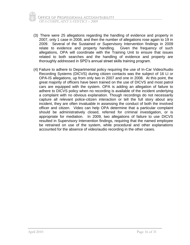- (3) There were 25 allegations regarding the handling of evidence and property in 2007, only 1 case in 2008, and then the number of allegations rose again to 19 in 2009. Several of the Sustained or Supervisory Intervention findings in 2009 relate to evidence and property handling. Given the frequency of such allegations, OPA will coordinate with the Training Unit to ensure that issues related to both searches and the handling of evidence and property are thoroughly addressed in SPD's annual street skills training program.
- (4) Failure to adhere to Departmental policy requiring the use of In-Car Video/Audio Recording Systems (DICVS) during citizen contacts was the subject of 16 LI or OPA-IS allegations, up from only two in 2007 and one in 2008. At this point, the great majority of officers have been trained on the use of DICVS and most patrol cars are equipped with the system. OPA is adding an allegation of failure to adhere to DICVS policy when no recording is available of the incident underlying a complaint with no obvious explanation. Though recordings do not necessarily capture all relevant police-citizen interaction or tell the full story about any incident, they are often invaluable in assessing the conduct of both the involved officer and citizen. Video can help OPA determine that a particular complaint should be administratively closed, referred for criminal investigation, or is appropriate for mediation. In 2009, two allegations of failure to use DICVS resulted in Supervisory Intervention findings, requiring that the named employee be retrained on use of the system, while procedural and other explanations accounted for the absence of video/audio recording in the other cases.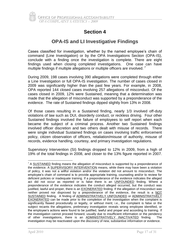

## **OPA-IS and LI Investigative Findings**

Cases classified for investigation, whether by the named employee's chain of command (Line Investigation) or by the OPA Investigations Section (OPA-IS), conclude with a finding once the investigation is complete. There are eight findings used when closing completed investigations. One case can have multiple findings if multiple allegations or multiple officers are involved.<sup>7</sup>

During 2009, 198 cases involving 390 allegations were completed through either a Line Investigation or full OPA-IS investigation. The number of cases closed in 2009 was significantly higher than the past few years. For example, in 2008, OPA reported 144 closed cases involving 257 allegations of misconduct. Of the cases closed in 2009, 12% were Sustained, meaning that a determination was made that the allegation of misconduct was supported by a preponderance of the evidence. The rate of Sustained findings dipped slightly from 13% in 2008.

Of those cases resulting in a Sustained finding, nearly 1/3 involved off-duty violations of law such as DUI, disorderly conduct, or reckless driving. Four other Sustained findings involved the failure of employees to self report when each became the subject of a criminal process. Another two Sustained findings involved officer discretion and two others dealt with misuse of records. There were single individual Sustained findings on cases involving traffic enforcement policy, citizen observation of officers, retaliation/misuse of authority, misuse of records, evidence handling, courtesy, and primary investigation regulations.

Supervisory Intervention (SI) findings dropped to 12% in 2009, from a high of 19% of the total findings in 2008, and closer to the 13% figure reported in 2007.

 $7$  A SUSTAINED finding means the allegation of misconduct is supported by a preponderance of the evidence. A SUPERVISORY INTERVENTION means, while there may have been a violation of policy, it was not a willful violation and/or the violation did not amount to misconduct. The employee's chain of command is to provide appropriate training, counseling and/or to review for deficient policies or inadequate training. If a preponderance of the evidence indicates the alleged act did not occur as reported or is false there is an UNFOUNDED finding. Where a preponderance of the evidence indicates the conduct alleged occurred, but the conduct was justified, lawful and proper, there is an EXONERATED finding. If the allegation of misconduct was neither proved nor disproved by a preponderance of the evidence, the result is a NOT SUSTAINED finding. A finding of ADMINISTRATIVELY UNFOUNDED or ADMINISTRATIVELY EXONERATED can be made prior to the completion of the investigation when the complaint is significantly flawed procedurally or legally, or without merit; i.e., the complaint is false or the subject recants the allegations, preliminary investigation reveals wrong employee identified, or the employee's actions were found to be justified, lawful and proper and according to training. If the investigation cannot proceed forward, usually due to insufficient information or the pendency of other investigations, there is an **ADMINISTRATIVELY INACTIVATED** finding. The investigation may be reactivated upon the discovery of new, substantive information or evidence.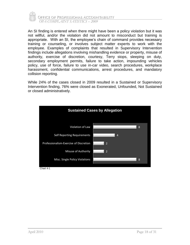

An SI finding is entered when there might have been a policy violation but it was not willful, and/or the violation did not amount to misconduct but training is appropriate. With an SI, the employee's chain of command provides necessary training or counseling, or involves subject matter experts to work with the employee. Examples of complaints that resulted in Supervisory Intervention findings include allegations involving mishandling evidence or property, misuse of authority, exercise of discretion, courtesy, Terry stops, sleeping on duty, secondary employment permits, failure to take action, impounding vehicles policy, use of force, failure to use in-car video, search procedures, workplace harassment, confidential communications, arrest procedures, and mandatory collision reporting.

While 24% of the cases closed in 2009 resulted in a Sustained or Supervisory Intervention finding, 76% were closed as Exonerated, Unfounded, Not Sustained or closed administratively.

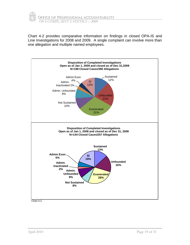

Chart 4-2 provides comparative information on findings in closed OPA-IS and Line Investigations for 2008 and 2009. A single complaint can involve more than one allegation and multiple named employees.

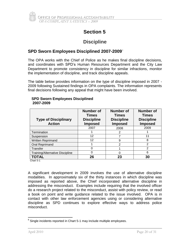

## **Discipline**

#### **SPD Sworn Employees Disciplined 2007-2009** 8

The OPA works with the Chief of Police as he makes final discipline decisions, and coordinates with SPD's Human Resources Department and the City Law Department to promote consistency in discipline for similar infractions, monitor the implementation of discipline, and track discipline appeals.

The table below provides information on the type of discipline imposed in 2007 - 2009 following Sustained findings in OPA complaints. The information represents final decisions following any appeal that might have been involved.

| <b>Type of Disciplinary</b><br><b>Action</b> | Number of<br><b>Times</b><br><b>Discipline</b><br><b>Imposed</b> | <b>Number of</b><br><b>Times</b><br><b>Discipline</b><br><b>Imposed</b> | Number of<br><b>Times</b><br><b>Discipline</b><br><b>Imposed</b> |
|----------------------------------------------|------------------------------------------------------------------|-------------------------------------------------------------------------|------------------------------------------------------------------|
|                                              | 2007                                                             | 2008                                                                    | 2009                                                             |
| Termination                                  |                                                                  | 2                                                                       |                                                                  |
| Suspension                                   | 12                                                               |                                                                         | 11                                                               |
| Written Reprimand                            | 12                                                               | 9                                                                       | 8                                                                |
| <b>Oral Reprimand</b>                        |                                                                  | $\mathcal{P}$                                                           | $\overline{2}$                                                   |
| <b>Transfer</b>                              |                                                                  |                                                                         | 2                                                                |
| Training/Alternative Discipline              |                                                                  |                                                                         | 6                                                                |
| TOTAL                                        | 26                                                               | 23                                                                      | 30                                                               |

#### **SPD Sworn Employees Disciplined 2007-2009**

Chart 5-1

A significant development in 2009 involves the use of alternative discipline modalities. In approximately six of the thirty instances in which discipline was imposed as reported above, the Chief incorporated alternative discipline in addressing the misconduct. Examples include requiring that the involved officer do a research project related to the misconduct, assist with policy review, or read a book on point and write guidance related to the issue involved. OPA is in contact with other law enforcement agencies using or considering alternative discipline as SPD continues to explore effective ways to address police misconduct.

 $\overline{a}$  $8$  Single incidents reported in Chart 5-1 may include multiple employees.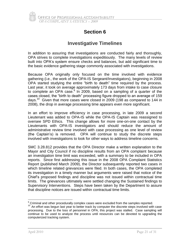

## **Investigative Timelines**

In addition to assuring that investigations are conducted fairly and thoroughly, OPA strives to complete investigations expeditiously. The many levels of review built into OPA's system ensure checks and balances, but add significant time to the basic evidence gathering stage commonly associated with investigations.

Because OPA originally only focused on the time involved with evidence gathering (i.e., the work of the OPA-IS Sergeant/Investigators), beginning in 2008 OPA started studying the entire "birth to death" time required by the process. Last year, it took on average approximately 173 days from intake to case closure to complete an OPA case.<sup>9</sup> In 2009, based on a sampling of a quarter of the cases closed, the "birth to death" processing figure dropped to an average of 159 days.<sup>10</sup> Given that more cases were closed in 2009 (198 as compared to 144 in 2008), the drop in average processing time appears even more significant.

In an effort to improve efficiency in case processing, in late 2009 a second Lieutenant was added to OPA-IS while the OPA-IS Captain was reassigned to oversee SPD Ethics. This change allows for more one-on-one contact by the Lieutenants with OPA-IS investigators and should reduce the amount of administrative review time involved with case processing as one level of review (the Captain's) is removed. OPA will continue to study the discrete steps involved with investigations to look for other ways to address timeline concerns.

SMC 3.28.812 provides that the OPA Director make a written explanation to the Mayor and City Council if no discipline results from an OPA complaint because an investigation time limit was exceeded, with a summary to be included in OPA reports. Since first addressing this issue in the 2008 OPA Complaint Statistics Report (published March 2009), the Director subsequently reported two cases in which timeline related grievances were filed. In both cases, the OPA completed its investigation in a timely manner but arguments were raised that notice of the Chief's proposed findings and discipline was not issued within contractual time limits. The grievances ultimately were settled changing the Sustained findings to Supervisory Interventions. Steps have been taken by the Department to assure that discipline notices are issued within contractual time limits.

 $9$  Criminal and other procedurally complex cases were excluded from the samples reported.

<sup>&</sup>lt;sup>10</sup> An effort was begun last year to better track by computer the discrete steps involved with case processing. Due to the loss of personnel in OPA, this project was stalled. Case sampling will continue to be used to analyze the process until resources can be devoted to upgrading the computerized tracking system.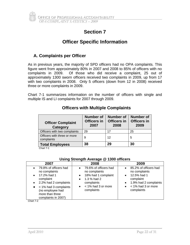## **Officer Specific Information**

## **A. Complaints per Officer**

As in previous years, the majority of SPD officers had no OPA complaints. This figure went from approximately 80% in 2007 and 2008 to 85% of officers with no complaints in 2009. Of those who did receive a complaint, 25 out of approximately 1300 sworn officers received two complaints in 2009, up from 17 with two complaints in 2008. Only 5 officers (down from 12 in 2008) received three or more complaints in 2009.

Chart 7-1 summarizes information on the number of officers with single and multiple IS and LI complaints for 2007 through 2009.

| <b>Officer Complaint</b><br>Category        | <b>Number of</b><br>Officers in<br>2007 | <b>Number of</b><br><b>Officers in</b><br>2008 | <b>Number of</b><br><b>Officers in</b><br>2009 |
|---------------------------------------------|-----------------------------------------|------------------------------------------------|------------------------------------------------|
| Officers with two complaints                | 29                                      | 17                                             | 25                                             |
| Officers with three or more<br>complaints   | 9                                       | 12                                             | 5                                              |
| <b>Total Employees</b><br>$Q_1 + Q_2 + Q_3$ | 38                                      | 29                                             | 30                                             |

#### **Officers with Multiple Complaints**

Chart 7-1

#### **Using Strength Average @ 1300 officers**

| 2007                                                                                                                                                                                                      | 2008                                                                                                                                                                               | 2009                                                                                                                                                                   |
|-----------------------------------------------------------------------------------------------------------------------------------------------------------------------------------------------------------|------------------------------------------------------------------------------------------------------------------------------------------------------------------------------------|------------------------------------------------------------------------------------------------------------------------------------------------------------------------|
| 79.8% of officers had<br>no complaints<br>17.2% had 1<br>complaint<br>2.2% had 2 complaints<br>$\bullet$<br>$\bullet$ < 1% had 3 complaints<br>(no employee had<br>more than three<br>complaints in 2007) | 79.6% of officers had<br>$\bullet$<br>no complaints<br>18% had 1 complaint<br>$\bullet$<br>1.3 % had 2<br>$\bullet$<br>complaints<br>< 1% had 3 or more<br>$\bullet$<br>complaints | 85.2% of officers had<br>no complaints<br>12.5% had 1<br>$\bullet$<br>complaint<br>1.9% had 2 complaints<br>$\bullet$<br>< 1% had 3 or more<br>$\bullet$<br>complaints |

Chart 7-2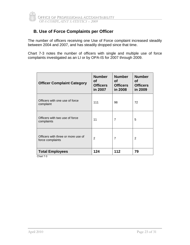

#### **B. Use of Force Complaints per Officer**

The number of officers receiving one Use of Force complaint increased steadily between 2004 and 2007, and has steadily dropped since that time.

Chart 7-3 notes the number of officers with single and multiple use of force complaints investigated as an LI or by OPA-IS for 2007 through 2009.

| <b>Officer Complaint Category</b>                      | <b>Number</b><br>Οf<br><b>Officers</b><br>in 2007 | <b>Number</b><br>Οf<br><b>Officers</b><br>in 2008 | <b>Number</b><br><b>of</b><br><b>Officers</b><br>in 2009 |
|--------------------------------------------------------|---------------------------------------------------|---------------------------------------------------|----------------------------------------------------------|
| Officers with one use of force<br>complaint            | 111                                               | 98                                                | 72                                                       |
| Officers with two use of force<br>complaints           | 11                                                | 7                                                 | 5                                                        |
| Officers with three or more use of<br>force complaints | $\overline{2}$                                    | $\overline{7}$                                    | 2                                                        |
| <b>Total Employees</b>                                 | 124                                               | 112                                               | 79                                                       |

Chart 7-3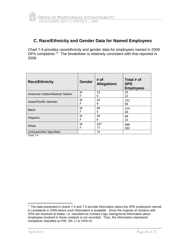#### **C. Race/Ethnicity and Gender Data for Named Employees**

Chart 7-4 provides race/ethnicity and gender data for employees named in 2009 OPA complaints.<sup>11</sup> The breakdown is relatively consistent with that reported in 2008.

| <b>Race/Ethnicity</b>          | <b>Gender</b> | # of<br><b>Allegations</b> | Total # of<br><b>SPD</b><br><b>Employees</b> |
|--------------------------------|---------------|----------------------------|----------------------------------------------|
| American Indian/Alaskan Native | М             | 13                         | 25                                           |
|                                | F             | 0                          | 12                                           |
| Asian/Pacific Islander         | М             | 42                         | 131                                          |
|                                | F             | 9                          | 59                                           |
| <b>Black</b>                   | M             | 58                         | 124                                          |
|                                | F             | 5                          | 46                                           |
| Hispanic                       | M             | 26                         | 68                                           |
|                                | F             | 6                          | 14                                           |
| White                          | М             | 347                        | 988                                          |
|                                | F             | 77                         | 392                                          |
| Unknown/Not Specified          |               | 72                         |                                              |

Chart 7-4

 $11$  The data presented in charts 7-4 and 7-5 provide information about the SPD employees named in complaints in 2009 where such information is available. Since the majority of contacts with OPA are resolved at intake, i.e. classified as Contact Logs, background information about employees involved in these contacts is not recorded. Thus, the information represents complaints classified as PIR, SR, LI or OPA-IS.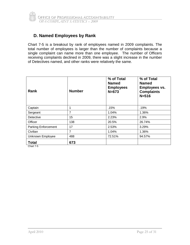

#### **D. Named Employees by Rank**

Chart 7-5 is a breakout by rank of employees named in 2009 complaints. The total number of employees is larger than the number of complaints because a single complaint can name more than one employee. The number of Officers receiving complaints declined in 2009, there was a slight increase in the number of Detectives named, and other ranks were relatively the same.

| <b>Rank</b>                | <b>Number</b> | % of Total<br><b>Named</b><br><b>Employees</b><br>$N = 673$ | % of Total<br><b>Named</b><br><b>Employees vs.</b><br><b>Complaints</b><br>$N = 516$ |
|----------------------------|---------------|-------------------------------------------------------------|--------------------------------------------------------------------------------------|
| Captain                    | 1             | .15%                                                        | .19%                                                                                 |
| Sergeant                   | 7             | 1.04%                                                       | 1.36%                                                                                |
| Detective                  | 15            | 2.23%                                                       | 2.9%                                                                                 |
| Officer                    | 138           | 20.5%                                                       | 26.74%                                                                               |
| <b>Parking Enforcement</b> | 17            | 2.53%                                                       | 3.29%                                                                                |
| Civilian                   | 7             | 1.04%                                                       | 1.36%                                                                                |
| <b>Unknown Employee</b>    | 488           | 72.51%                                                      | 94.57%                                                                               |
| <b>Total</b><br>Chart 7-5  | 673           |                                                             |                                                                                      |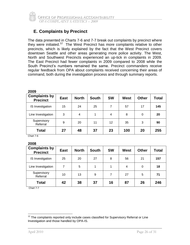

## **E. Complaints by Precinct**

The data presented in Charts 7-6 and 7-7 break out complaints by precinct where they were initiated.<sup>12</sup> The West Precinct has more complaints relative to other precincts, which is likely explained by the fact that the West Precinct covers downtown Seattle and other areas generating more police activity. The West, North and Southwest Precincts experienced an up-tick in complaints in 2009. The East Precinct had fewer complaints in 2009 compared to 2008 while the South Precinct's numbers remained the same. Precinct commanders receive regular feedback from OPA about complaints received concerning their areas of command, both during the investigation process and through summary reports.

| <b>Complaints by</b><br><b>Precinct</b> | <b>East</b> | <b>North</b>   | <b>South</b> | <b>SW</b> | <b>West</b> | <b>Other</b> | Total |
|-----------------------------------------|-------------|----------------|--------------|-----------|-------------|--------------|-------|
| IS Investigation                        | 15          | 24             | 25           | 7         | 57          | 17           | 145   |
| Line Investigation                      | 3           | $\overline{4}$ | 1            | 4         | 8           | 0            | 20    |
| Supervisory<br>Referral                 | 9           | 20             | 11           | 12        | 35          | 3            | 90    |
| <b>Total</b>                            | 27          | 48             | 37           | 23        | 100         | 20           | 255   |

**2009**

Chart 7-6

#### **2008**

| <b>Complaints by</b><br><b>Precinct</b> | <b>East</b> | <b>North</b> | <b>South</b> | <b>SW</b> | <b>West</b> | <b>Other</b> | <b>Total</b> |
|-----------------------------------------|-------------|--------------|--------------|-----------|-------------|--------------|--------------|
| IS Investigation                        | 25          | 20           | 27           | 8         | 56          | 21           | 157          |
| Line Investigation                      | 7           | 5            | 1            |           | 4           | 0            | 18           |
| Supervisory<br>Referral                 | 10          | 13           | 9            | 7         | 27          | 5            | 71           |
| <b>Total</b>                            | 42          | 38           | 37           | 16        | 87          | 26           | 246          |

Chart 7-7

 $12$  The complaints reported only include cases classified for Supervisory Referral or Line Investigation and those handled by OPA-IS.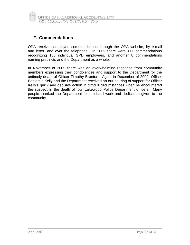

#### **F. Commendations**

OPA receives employee commendations through the OPA website, by e-mail and letter, and over the telephone. In 2009 there were 111 commendations recognizing 103 individual SPD employees, and another 8 commendations naming precincts and the Department as a whole.

In November of 2009 there was an overwhelming response from community members expressing their condolences and support to the Department for the untimely death of Officer Timothy Brenton. Again in December of 2009, Officer Benjamin Kelly and the Department received an out-pouring of support for Officer Kelly's quick and decisive action in difficult circumstances when he encountered the suspect in the death of four Lakewood Police Department officers. Many people thanked the Department for the hard work and dedication given to the community.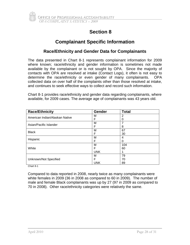## **Complainant Specific Information**

#### **Race/Ethnicity and Gender Data for Complainants**

The data presented in Chart 8-1 represents complainant information for 2009 where known; race/ethnicity and gender information is sometimes not made available by the complainant or is not sought by OPA. Since the majority of contacts with OPA are resolved at intake (Contact Logs), it often is not easy to determine the race/ethnicity or even gender of many complainants. OPA collected data on over half of the complaints other than those resolved at intake, and continues to seek effective ways to collect and record such information.

Chart 8-1 provides race/ethnicity and gender data regarding complainants, where available, for 2009 cases. The average age of complainants was 43 years old.

| <b>Race/Ethnicity</b>          | <b>Gender</b> | <b>Total</b> |
|--------------------------------|---------------|--------------|
| American Indian/Alaskan Native | м             | 2            |
|                                | F             | 0            |
| Asian/Pacific Islander         | M             |              |
|                                | F             | 8            |
| <b>Black</b>                   | M             | 67           |
|                                | F             | 30           |
| Hispanic                       | М             | 4            |
|                                | F             | O            |
|                                | М             | 104          |
| White                          | F             | 60           |
|                                | <b>UNK</b>    |              |
|                                | М             | 79           |
| Unknown/Not Specified          | F             | 70           |
|                                | <b>UNK</b>    | 89           |

Chart 8-1

Compared to data reported in 2008, nearly twice as many complainants were white females in 2009 (36 in 2008 as compared to 60 in 2009). The number of male and female Black complainants was up by 27 (97 in 2009 as compared to 70 in 2008). Other race/ethnicity categories were relatively the same.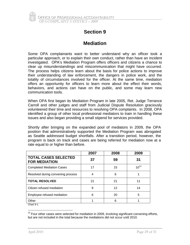

## **Mediation**

Some OPA complainants want to better understand why an officer took a particular approach, or to explain their own conduct, rather than have an incident investigated. OPA's Mediation Program offers officers and citizens a chance to clear up misunderstandings and miscommunication that might have occurred. The process helps citizens learn about the basis for police actions to improve their understanding of law enforcement, the dangers in police work, and the totality of circumstances involved for the officer. At the same time, mediation offers an opportunity for officers to learn more about the effect their words, behaviors, and actions can have on the public, and some may learn new communication tools.

When OPA first began its Mediation Program in late 2005, Ret. Judge Terrance Carroll and other judges and staff from Judicial Dispute Resolution graciously volunteered their time and resources to resolving OPA complaints. In 2008, OPA identified a group of other local professional mediators to train in handling these issues and also began providing a small stipend for services provided.

Shortly after bringing on the expanded pool of mediators in 2009, the OPA position that administratively supported the Mediation Program was abrogated as Seattle addressed budget shortfalls. After a transition period, however, the program is back on track and cases are being referred for mediation now at a rate equal to or higher than before.

|                                                     | 2007 | 2008 | 2009      |
|-----------------------------------------------------|------|------|-----------|
| <b>TOTAL CASES SELECTED</b><br><b>FOR MEDIATION</b> | 37   | 59   | 31        |
| <b>Completed Mediation Cases</b>                    | 17   | 15   | $10^{13}$ |
| Resolved during convening process                   | 4    | 6    |           |
| <b>TOTAL RESOLVED</b>                               | 21   | 21   | 11        |
| Citizen refused mediation                           | 9    | 12   | 14        |
| Employee refused mediation                          | 6    | 20   | 5         |
| Other                                               |      | 6    |           |
| Chart 9-1                                           |      |      |           |

<sup>&</sup>lt;sup>13</sup> Four other cases were selected for mediation in 2009, involving significant convening efforts, but are not included in the total because the mediations did not occur until 2010.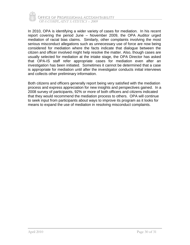

In 2010, OPA is identifying a wider variety of cases for mediation. In his recent report covering the period June – November 2009, the OPA Auditor urged mediation of racial bias claims. Similarly, other complaints involving the most serious misconduct allegations such as unnecessary use of force are now being considered for mediation where the facts indicate that dialogue between the citizen and officer involved might help resolve the matter. Also, though cases are usually selected for mediation at the intake stage, the OPA Director has asked that OPA-IS staff refer appropriate cases for mediation even after an investigation has been initiated. Sometimes it cannot be determined that a case is appropriate for mediation until after the investigator conducts initial interviews and collects other preliminary information.

Both citizens and officers generally report being very satisfied with the mediation process and express appreciation for new insights and perspectives gained. In a 2008 survey of participants, 92% or more of both officers and citizens indicated that they would recommend the mediation process to others. OPA will continue to seek input from participants about ways to improve its program as it looks for means to expand the use of mediation in resolving misconduct complaints.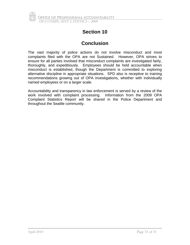

## **Conclusion**

The vast majority of police actions do not involve misconduct and most complaints filed with the OPA are not Sustained. However, OPA strives to ensure for all parties involved that misconduct complaints are investigated fairly, thoroughly, and expeditiously. Employees should be held accountable when misconduct is established, though the Department is committed to exploring alternative discipline in appropriate situations. SPD also is receptive to training recommendations growing out of OPA investigations, whether with individually named employees or on a larger scale.

Accountability and transparency in law enforcement is served by a review of the work involved with complaint processing. Information from the 2009 OPA Complaint Statistics Report will be shared in the Police Department and throughout the Seattle community.